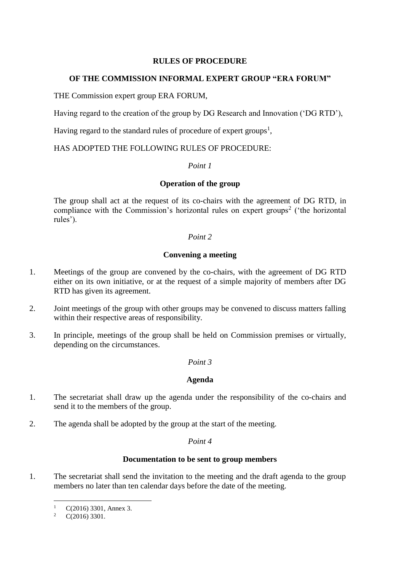# **RULES OF PROCEDURE**

# **OF THE COMMISSION INFORMAL EXPERT GROUP "ERA FORUM"**

THE Commission expert group ERA FORUM,

Having regard to the creation of the group by DG Research and Innovation ('DG RTD'),

Having regard to the standard rules of procedure of expert groups<sup>1</sup>,

# HAS ADOPTED THE FOLLOWING RULES OF PROCEDURE:

## *Point 1*

# **Operation of the group**

The group shall act at the request of its co-chairs with the agreement of DG RTD, in compliance with the Commission's horizontal rules on expert groups<sup>2</sup> ('the horizontal rules').

# *Point 2*

# **Convening a meeting**

- 1. Meetings of the group are convened by the co-chairs, with the agreement of DG RTD either on its own initiative, or at the request of a simple majority of members after DG RTD has given its agreement.
- 2. Joint meetings of the group with other groups may be convened to discuss matters falling within their respective areas of responsibility.
- 3. In principle, meetings of the group shall be held on Commission premises or virtually, depending on the circumstances.

# *Point 3*

# **Agenda**

- 1. The secretariat shall draw up the agenda under the responsibility of the co-chairs and send it to the members of the group.
- 2. The agenda shall be adopted by the group at the start of the meeting.

## *Point 4*

## **Documentation to be sent to group members**

1. The secretariat shall send the invitation to the meeting and the draft agenda to the group members no later than ten calendar days before the date of the meeting.

 $\mathbf{1}$  $\frac{1}{2}$  C(2016) 3301, Annex 3.

 $C(2016)$  3301.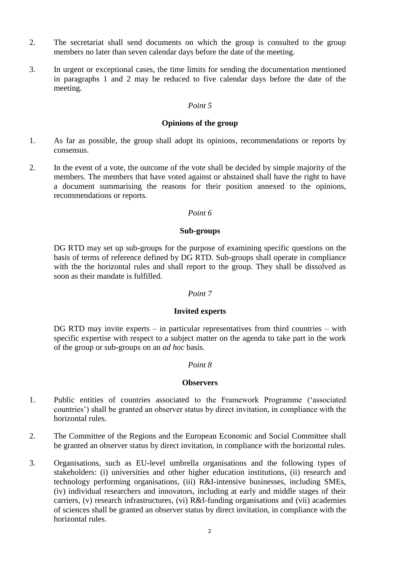- 2. The secretariat shall send documents on which the group is consulted to the group members no later than seven calendar days before the date of the meeting.
- 3. In urgent or exceptional cases, the time limits for sending the documentation mentioned in paragraphs 1 and 2 may be reduced to five calendar days before the date of the meeting.

## **Opinions of the group**

- 1. As far as possible, the group shall adopt its opinions, recommendations or reports by consensus.
- 2. In the event of a vote, the outcome of the vote shall be decided by simple majority of the members. The members that have voted against or abstained shall have the right to have a document summarising the reasons for their position annexed to the opinions, recommendations or reports.

## *Point 6*

### **Sub-groups**

DG RTD may set up sub-groups for the purpose of examining specific questions on the basis of terms of reference defined by DG RTD. Sub-groups shall operate in compliance with the the horizontal rules and shall report to the group. They shall be dissolved as soon as their mandate is fulfilled.

## *Point 7*

## **Invited experts**

DG RTD may invite experts – in particular representatives from third countries – with specific expertise with respect to a subject matter on the agenda to take part in the work of the group or sub-groups on an *ad hoc* basis.

## *Point 8*

#### **Observers**

- 1. Public entities of countries associated to the Framework Programme ('associated countries') shall be granted an observer status by direct invitation, in compliance with the horizontal rules.
- 2. The Committee of the Regions and the European Economic and Social Committee shall be granted an observer status by direct invitation, in compliance with the horizontal rules.
- 3. Organisations, such as EU-level umbrella organisations and the following types of stakeholders: (i) universities and other higher education institutions, (ii) research and technology performing organisations, (iii) R&I-intensive businesses, including SMEs, (iv) individual researchers and innovators, including at early and middle stages of their carriers, (v) research infrastructures, (vi) R&I-funding organisations and (vii) academies of sciences shall be granted an observer status by direct invitation, in compliance with the horizontal rules.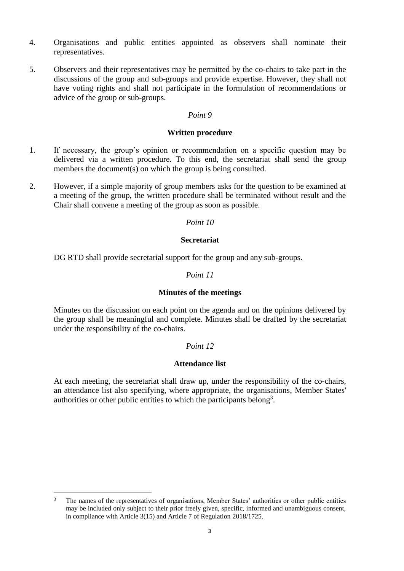- 4. Organisations and public entities appointed as observers shall nominate their representatives.
- 5. Observers and their representatives may be permitted by the co-chairs to take part in the discussions of the group and sub-groups and provide expertise. However, they shall not have voting rights and shall not participate in the formulation of recommendations or advice of the group or sub-groups.

## **Written procedure**

- 1. If necessary, the group's opinion or recommendation on a specific question may be delivered via a written procedure. To this end, the secretariat shall send the group members the document(s) on which the group is being consulted.
- 2. However, if a simple majority of group members asks for the question to be examined at a meeting of the group, the written procedure shall be terminated without result and the Chair shall convene a meeting of the group as soon as possible.

## *Point 10*

### **Secretariat**

DG RTD shall provide secretarial support for the group and any sub-groups.

## *Point 11*

#### **Minutes of the meetings**

Minutes on the discussion on each point on the agenda and on the opinions delivered by the group shall be meaningful and complete. Minutes shall be drafted by the secretariat under the responsibility of the co-chairs.

## *Point 12*

#### **Attendance list**

At each meeting, the secretariat shall draw up, under the responsibility of the co-chairs, an attendance list also specifying, where appropriate, the organisations, Member States' authorities or other public entities to which the participants belong<sup>3</sup>.

 $\overline{a}$ 

<sup>3</sup> The names of the representatives of organisations, Member States' authorities or other public entities may be included only subject to their prior freely given, specific, informed and unambiguous consent, in compliance with Article 3(15) and Article 7 of Regulation 2018/1725.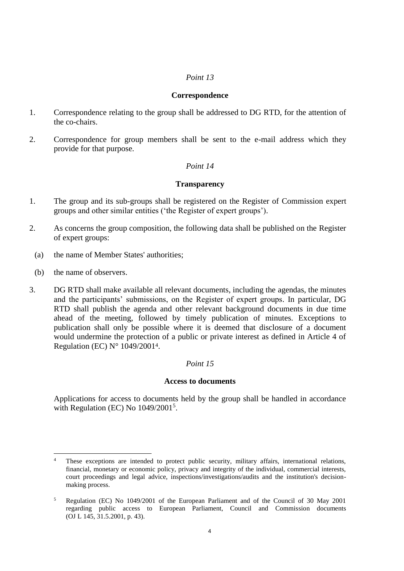#### **Correspondence**

- 1. Correspondence relating to the group shall be addressed to DG RTD, for the attention of the co-chairs.
- 2. Correspondence for group members shall be sent to the e-mail address which they provide for that purpose.

#### *Point 14*

#### **Transparency**

- 1. The group and its sub-groups shall be registered on the Register of Commission expert groups and other similar entities ('the Register of expert groups').
- 2. As concerns the group composition, the following data shall be published on the Register of expert groups:
	- (a) the name of Member States' authorities;
	- (b) the name of observers.
- 3. DG RTD shall make available all relevant documents, including the agendas, the minutes and the participants' submissions, on the Register of expert groups. In particular, DG RTD shall publish the agenda and other relevant background documents in due time ahead of the meeting, followed by timely publication of minutes. Exceptions to publication shall only be possible where it is deemed that disclosure of a document would undermine the protection of a public or private interest as defined in Article 4 of Regulation (EC) N° 1049/20014.

## *Point 15*

#### **Access to documents**

Applications for access to documents held by the group shall be handled in accordance with Regulation (EC) No  $1049/2001<sup>5</sup>$ .

 $\frac{1}{4}$  These exceptions are intended to protect public security, military affairs, international relations, financial, monetary or economic policy, privacy and integrity of the individual, commercial interests, court proceedings and legal advice, inspections/investigations/audits and the institution's decisionmaking process.

<sup>5</sup> Regulation (EC) No 1049/2001 of the European Parliament and of the Council of 30 May 2001 regarding public access to European Parliament, Council and Commission documents (OJ L 145, 31.5.2001, p. 43).